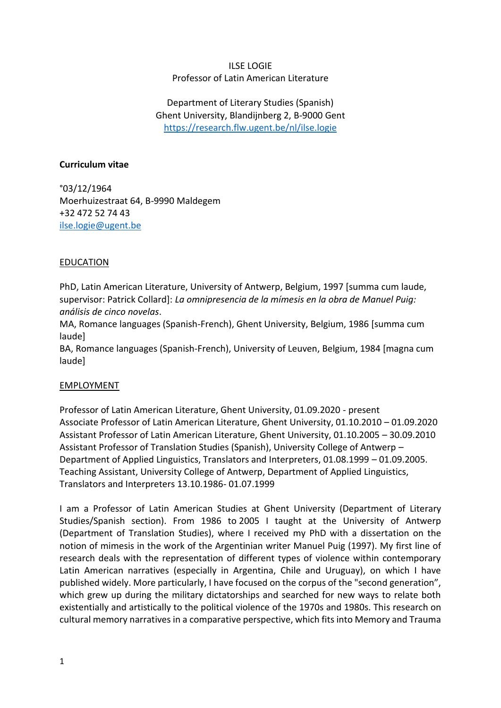#### ILSE LOGIE Professor of Latin American Literature

Department of Literary Studies (Spanish) Ghent University, Blandijnberg 2, B-9000 Gent <https://research.flw.ugent.be/nl/ilse.logie>

#### **Curriculum vitae**

°03/12/1964 Moerhuizestraat 64, B-9990 Maldegem +32 472 52 74 43 [ilse.logie@ugent.be](mailto:ilse.logie@ugent.be)

### EDUCATION

PhD, Latin American Literature, University of Antwerp, Belgium, 1997 [summa cum laude, supervisor: Patrick Collard]: *La omnipresencia de la mímesis en la obra de Manuel Puig: análisis de cinco novelas*.

MA, Romance languages (Spanish-French), Ghent University, Belgium, 1986 [summa cum laude]

BA, Romance languages (Spanish-French), University of Leuven, Belgium, 1984 [magna cum laude]

#### EMPLOYMENT

Professor of Latin American Literature, Ghent University, 01.09.2020 - present Associate Professor of Latin American Literature, Ghent University, 01.10.2010 – 01.09.2020 Assistant Professor of Latin American Literature, Ghent University, 01.10.2005 – 30.09.2010 Assistant Professor of Translation Studies (Spanish), University College of Antwerp – Department of Applied Linguistics, Translators and Interpreters, 01.08.1999 – 01.09.2005. Teaching Assistant, University College of Antwerp, Department of Applied Linguistics, Translators and Interpreters 13.10.1986- 01.07.1999

I am a Professor of Latin American Studies at Ghent University (Department of Literary Studies/Spanish section). From 1986 to 2005 I taught at the University of Antwerp (Department of Translation Studies), where I received my PhD with a dissertation on the notion of mimesis in the work of the Argentinian writer Manuel Puig (1997). My first line of research deals with the representation of different types of violence within contemporary Latin American narratives (especially in Argentina, Chile and Uruguay), on which I have published widely. More particularly, I have focused on the corpus of the "second generation", which grew up during the military dictatorships and searched for new ways to relate both existentially and artistically to the political violence of the 1970s and 1980s. This research on cultural memory narratives in a comparative perspective, which fits into Memory and Trauma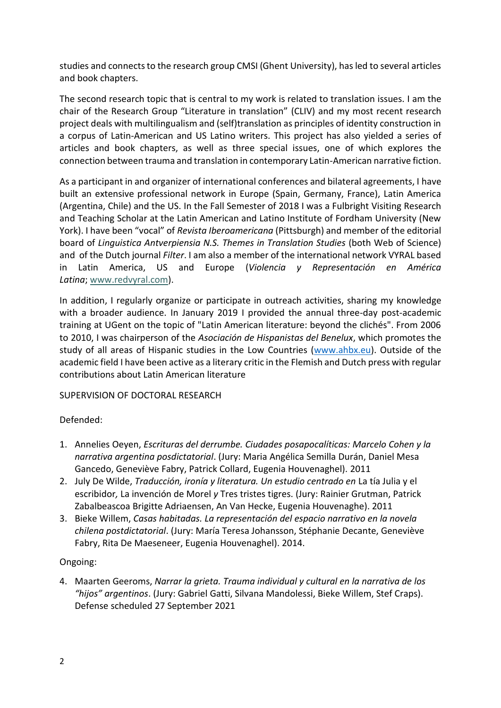studies and connects to the research group CMSI (Ghent University), has led to several articles and book chapters.

The second research topic that is central to my work is related to translation issues. I am the chair of the Research Group "Literature in translation" (CLIV) and my most recent research project deals with multilingualism and (self)translation as principles of identity construction in a corpus of Latin-American and US Latino writers. This project has also yielded a series of articles and book chapters, as well as three special issues, one of which explores the connection between trauma and translation in contemporary Latin-American narrative fiction.

As a participant in and organizer of international conferences and bilateral agreements, I have built an extensive professional network in Europe (Spain, Germany, France), Latin America (Argentina, Chile) and the US. In the Fall Semester of 2018 I was a Fulbright Visiting Research and Teaching Scholar at the Latin American and Latino Institute of Fordham University (New York). I have been "vocal" of *Revista Iberoamericana* (Pittsburgh) and member of the editorial board of *Linguistica Antverpiensia N.S. Themes in Translation Studies* (both Web of Science) and of the Dutch journal *Filter*. I am also a member of the international network VYRAL based in Latin America, US and Europe (*Violencia y Representación en América Latina*; [www.redvyral.com\)](http://www.redvyral.com/).

In addition, I regularly organize or participate in outreach activities, sharing my knowledge with a broader audience. In January 2019 I provided the annual three-day post-academic training at UGent on the topic of "Latin American literature: beyond the clichés". From 2006 to 2010, I was chairperson of the *Asociación de Hispanistas del Benelux*, which promotes the study of all areas of Hispanic studies in the Low Countries [\(www.ahbx.eu\)](http://www.ahbx.eu/). Outside of the academic field I have been active as a literary critic in the Flemish and Dutch press with regular contributions about Latin American literature

### SUPERVISION OF DOCTORAL RESEARCH

# Defended:

- 1. Annelies Oeyen, *Escrituras del derrumbe. Ciudades posapocalíticas: Marcelo Cohen y la narrativa argentina posdictatorial*. (Jury: Maria Angélica Semilla Durán, Daniel Mesa Gancedo, Geneviève Fabry, Patrick Collard, Eugenia Houvenaghel). 2011
- 2. July De Wilde, *Traducción, ironía y literatura. Un estudio centrado en* La tía Julia y el escribidor*,* La invención de Morel *y* Tres tristes tigres. (Jury: Rainier Grutman, Patrick Zabalbeascoa Brigitte Adriaensen, An Van Hecke, Eugenia Houvenaghe). 2011
- 3. Bieke Willem, *Casas habitadas. La representación del espacio narrativo en la novela chilena postdictatorial*. (Jury: María Teresa Johansson, Stéphanie Decante, Geneviève Fabry, Rita De Maeseneer, Eugenia Houvenaghel). 2014.

### Ongoing:

4. Maarten Geeroms, *Narrar la grieta. Trauma individual y cultural en la narrativa de los "hijos" argentinos*. (Jury: Gabriel Gatti, Silvana Mandolessi, Bieke Willem, Stef Craps). Defense scheduled 27 September 2021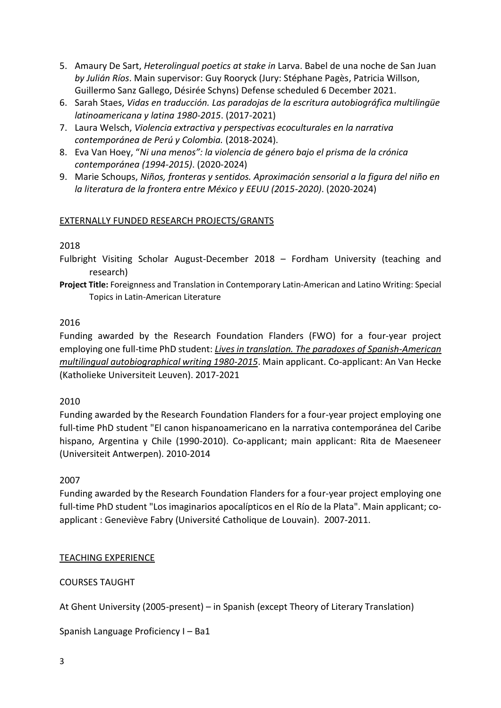- 5. Amaury De Sart, *Heterolingual poetics at stake in* Larva. Babel de una noche de San Juan *by Julián Ríos*. Main supervisor: Guy Rooryck (Jury: Stéphane Pagès, Patricia Willson, Guillermo Sanz Gallego, Désirée Schyns) Defense scheduled 6 December 2021.
- 6. Sarah Staes, *Vidas en traducción. Las paradojas de la escritura autobiográfica multilingüe latinoamericana y latina 1980-2015*. (2017-2021)
- 7. Laura Welsch, *Violencia extractiva y perspectivas ecoculturales en la narrativa contemporánea de Perú y Colombia.* (2018-2024).
- 8. Eva Van Hoey, "*Ni una menos": la violencia de género bajo el prisma de la crónica contemporánea (1994-2015)*. (2020-2024)
- 9. Marie Schoups, *Niños, fronteras y sentidos. Aproximación sensorial a la figura del niño en la literatura de la frontera entre México y EEUU (2015-2020)*. (2020-2024)

### EXTERNALLY FUNDED RESEARCH PROJECTS/GRANTS

### 2018

- Fulbright Visiting Scholar August-December 2018 Fordham University (teaching and research)
- **Project Title:** Foreignness and Translation in Contemporary Latin-American and Latino Writing: Special Topics in Latin-American Literature

## 2016

Funding awarded by the Research Foundation Flanders (FWO) for a four-year project employing one full-time PhD student: *[Lives in translation. The paradoxes of Spanish-American](http://research.flw.ugent.be/en/projects/lives-translation-paradoxes-spanish-american-multilingual-autobiographical-writing-1980)  [multilingual autobiographical writing 1980-2015](http://research.flw.ugent.be/en/projects/lives-translation-paradoxes-spanish-american-multilingual-autobiographical-writing-1980)*. Main applicant. Co-applicant: An Van Hecke (Katholieke Universiteit Leuven). 2017-2021

### 2010

Funding awarded by the Research Foundation Flanders for a four-year project employing one full-time PhD student "El canon hispanoamericano en la narrativa contemporánea del Caribe hispano, Argentina y Chile (1990-2010). Co-applicant; main applicant: Rita de Maeseneer (Universiteit Antwerpen). 2010-2014

### 2007

Funding awarded by the Research Foundation Flanders for a four-year project employing one full-time PhD student "Los imaginarios apocalípticos en el Río de la Plata". Main applicant; coapplicant : Geneviève Fabry (Université Catholique de Louvain). 2007-2011.

# TEACHING EXPERIENCE

### COURSES TAUGHT

At Ghent University (2005-present) – in Spanish (except Theory of Literary Translation)

Spanish Language Proficiency I – Ba1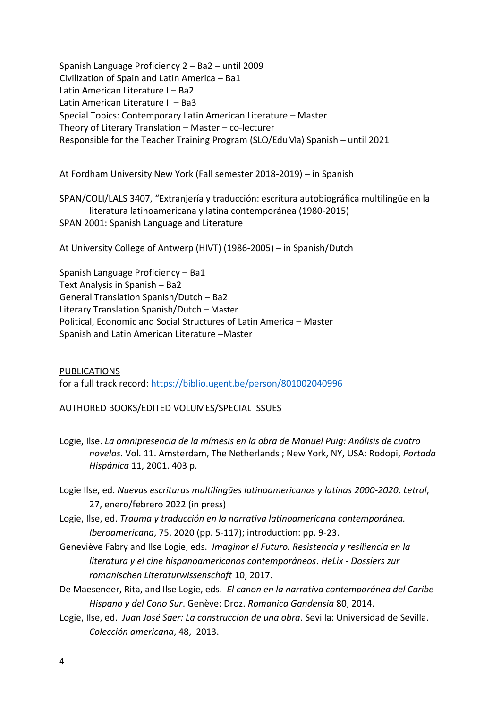Spanish Language Proficiency 2 – Ba2 – until 2009 Civilization of Spain and Latin America – Ba1 Latin American Literature I – Ba2 Latin American Literature II – Ba3 Special Topics: Contemporary Latin American Literature – Master Theory of Literary Translation – Master – co-lecturer Responsible for the Teacher Training Program (SLO/EduMa) Spanish – until 2021

At Fordham University New York (Fall semester 2018-2019) – in Spanish

SPAN/COLI/LALS 3407, "Extranjería y traducción: escritura autobiográfica multilingüe en la literatura latinoamericana y latina contemporánea (1980-2015) SPAN 2001: Spanish Language and Literature

At University College of Antwerp (HIVT) (1986-2005) – in Spanish/Dutch

Spanish Language Proficiency – Ba1 Text Analysis in Spanish – Ba2 General Translation Spanish/Dutch – Ba2 Literary Translation Spanish/Dutch – Master Political, Economic and Social Structures of Latin America – Master Spanish and Latin American Literature –Master

PUBLICATIONS for a full track record:<https://biblio.ugent.be/person/801002040996>

### AUTHORED BOOKS/EDITED VOLUMES/SPECIAL ISSUES

- Logie, Ilse. *La omnipresencia de la mímesis en la obra de Manuel Puig: Análisis de cuatro novelas*. Vol. 11. Amsterdam, The Netherlands ; New York, NY, USA: Rodopi, *Portada Hispánica* 11, 2001. 403 p.
- Logie Ilse, ed. *Nuevas escrituras multilingües latinoamericanas y latinas 2000-2020*. *Letral*, 27, enero/febrero 2022 (in press)
- Logie, Ilse, ed. *Trauma y traducción en la narrativa latinoamericana contemporánea. Iberoamericana*, 75, 2020 (pp. 5-117); introduction: pp. 9-23.
- Geneviève Fabry and Ilse Logie, eds. *Imaginar el Futuro. Resistencia y resiliencia en la literatura y el cine hispanoamericanos contemporáneos*. *HeLix - Dossiers zur romanischen Literaturwissenschaft* 10, 2017.
- De Maeseneer, Rita, and Ilse Logie, eds. *El canon en la narrativa contemporánea del Caribe Hispano y del Cono Sur*. Genève: Droz. *Romanica Gandensia* 80, 2014.
- Logie, Ilse, ed. *Juan José Saer: La construccion de una obra*. Sevilla: Universidad de Sevilla. *Colección americana*, 48, 2013.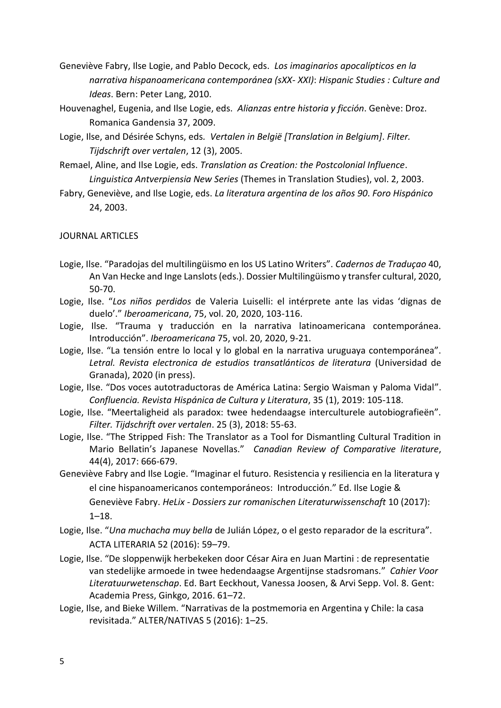- Geneviève Fabry, Ilse Logie, and Pablo Decock, eds. *Los imaginarios apocalípticos en la narrativa hispanoamericana contemporánea (sXX- XXI)*: *Hispanic Studies : Culture and Ideas*. Bern: Peter Lang, 2010.
- Houvenaghel, Eugenia, and Ilse Logie, eds. *Alianzas entre historia y ficción*. Genève: Droz. Romanica Gandensia 37, 2009.
- Logie, Ilse, and Désirée Schyns, eds*. Vertalen in België [Translation in Belgium]*. *Filter. Tijdschrift over vertalen*, 12 (3), 2005.
- Remael, Aline, and Ilse Logie, eds. *Translation as Creation: the Postcolonial Influence*. *Linguistica Antverpiensia New Series* (Themes in Translation Studies), vol. 2, 2003.
- Fabry, Geneviève, and Ilse Logie, eds. *La literatura argentina de los años 90*. *Foro Hispánico* 24, 2003.

### JOURNAL ARTICLES

- Logie, Ilse. "Paradojas del multilingüismo en los US Latino Writers". *Cadernos de Traduçao* 40, An Van Hecke and Inge Lanslots (eds.). Dossier Multilingüismo y transfer cultural, 2020, 50-70.
- Logie, Ilse. "*Los niños perdidos* de Valeria Luiselli: el intérprete ante las vidas 'dignas de duelo'." *Iberoamericana*, 75, vol. 20, 2020, 103-116.
- Logie, Ilse. "Trauma y traducción en la narrativa latinoamericana contemporánea. Introducción". *Iberoamericana* 75, vol. 20, 2020, 9-21.
- Logie, Ilse. "La tensión entre lo local y lo global en la narrativa uruguaya contemporánea". *Letral. Revista electronica de estudios transatlánticos de literatura* (Universidad de Granada), 2020 (in press).
- Logie, Ilse. "Dos voces autotraductoras de América Latina: Sergio Waisman y Paloma Vidal". *Confluencia. Revista Hispánica de Cultura y Literatura*, 35 (1), 2019: 105-118.
- Logie, Ilse. "Meertaligheid als paradox: twee hedendaagse interculturele autobiografieën". *Filter. Tijdschrift over vertalen*. 25 (3), 2018: 55-63.
- Logie, Ilse. "The Stripped Fish: The Translator as a Tool for Dismantling Cultural Tradition in Mario Bellatin's Japanese Novellas." *Canadian Review of Comparative literature*, 44(4), 2017: 666-679.
- Geneviève Fabry and Ilse Logie. "Imaginar el futuro. Resistencia y resiliencia en la literatura y el cine hispanoamericanos contemporáneos: Introducción." Ed. Ilse Logie & Geneviève Fabry. *HeLix - Dossiers zur romanischen Literaturwissenschaft* 10 (2017): 1–18.
- Logie, Ilse. "*Una muchacha muy bella* de Julián López, o el gesto reparador de la escritura". ACTA LITERARIA 52 (2016): 59–79.
- Logie, Ilse. "De sloppenwijk herbekeken door César Aira en Juan Martini : de representatie van stedelijke armoede in twee hedendaagse Argentijnse stadsromans*.*" *Cahier Voor Literatuurwetenschap*. Ed. Bart Eeckhout, Vanessa Joosen, & Arvi Sepp. Vol. 8. Gent: Academia Press, Ginkgo, 2016. 61–72.
- Logie, Ilse, and Bieke Willem. "Narrativas de la postmemoria en Argentina y Chile: la casa revisitada." ALTER/NATIVAS 5 (2016): 1–25.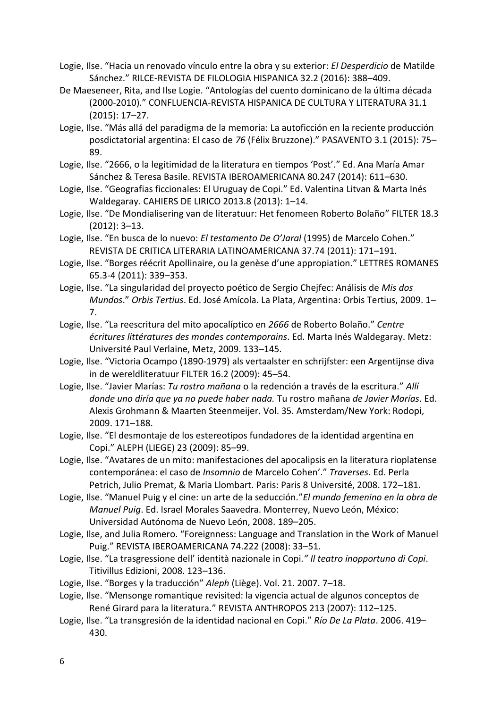- Logie, Ilse. "Hacia un renovado vínculo entre la obra y su exterior: *El Desperdicio* de Matilde Sánchez." RILCE-REVISTA DE FILOLOGIA HISPANICA 32.2 (2016): 388–409.
- De Maeseneer, Rita, and Ilse Logie. "Antologías del cuento dominicano de la última década (2000-2010)." CONFLUENCIA-REVISTA HISPANICA DE CULTURA Y LITERATURA 31.1 (2015): 17–27.
- Logie, Ilse. "Más allá del paradigma de la memoria: La autoficción en la reciente producción posdictatorial argentina: El caso de *76* (Félix Bruzzone)." PASAVENTO 3.1 (2015): 75– 89.
- Logie, Ilse. "2666, o la legitimidad de la literatura en tiempos 'Post'." Ed. Ana María Amar Sánchez & Teresa Basile. REVISTA IBEROAMERICANA 80.247 (2014): 611–630.
- Logie, Ilse. "Geografias ficcionales: El Uruguay de Copi." Ed. Valentina Litvan & Marta Inés Waldegaray. CAHIERS DE LIRICO 2013.8 (2013): 1–14.
- Logie, Ilse. "De Mondialisering van de literatuur: Het fenomeen Roberto Bolaño" FILTER 18.3 (2012): 3–13.
- Logie, Ilse. "En busca de lo nuevo: *El testamento De O'Jaral* (1995) de Marcelo Cohen." REVISTA DE CRITICA LITERARIA LATINOAMERICANA 37.74 (2011): 171–191.
- Logie, Ilse. "Borges réécrit Apollinaire, ou la genèse d'une appropiation." LETTRES ROMANES 65.3-4 (2011): 339–353.
- Logie, Ilse. "La singularidad del proyecto poético de Sergio Chejfec: Análisis de *Mis dos Mundos*." *Orbis Tertius*. Ed. José Amícola. La Plata, Argentina: Orbis Tertius, 2009. 1– 7.
- Logie, Ilse. "La reescritura del mito apocalíptico en *2666* de Roberto Bolaño." *Centre écritures littératures des mondes contemporains*. Ed. Marta Inés Waldegaray. Metz: Université Paul Verlaine, Metz, 2009. 133–145.
- Logie, Ilse. "Victoria Ocampo (1890-1979) als vertaalster en schrijfster: een Argentijnse diva in de wereldliteratuur FILTER 16.2 (2009): 45–54.
- Logie, Ilse. "Javier Marías: *Tu rostro mañana* o la redención a través de la escritura." *Allí donde uno diría que ya no puede haber nada.* Tu rostro mañana *de Javier Marías*. Ed. Alexis Grohmann & Maarten Steenmeijer. Vol. 35. Amsterdam/New York: Rodopi, 2009. 171–188.
- Logie, Ilse. "El desmontaje de los estereotipos fundadores de la identidad argentina en Copi." ALEPH (LIEGE) 23 (2009): 85–99.
- Logie, Ilse. "Avatares de un mito: manifestaciones del apocalipsis en la literatura rioplatense contemporánea: el caso de *Insomnio* de Marcelo Cohen'." *Traverses*. Ed. Perla Petrich, Julio Premat, & Maria Llombart. Paris: Paris 8 Université, 2008. 172–181.
- Logie, Ilse. "Manuel Puig y el cine: un arte de la seducción."*El mundo femenino en la obra de Manuel Puig*. Ed. Israel Morales Saavedra. Monterrey, Nuevo León, México: Universidad Autónoma de Nuevo León, 2008. 189–205.
- Logie, Ilse, and Julia Romero. "Foreignness: Language and Translation in the Work of Manuel Puig." REVISTA IBEROAMERICANA 74.222 (2008): 33–51.
- Logie, Ilse. "La trasgressione dell' identità nazionale in Copi*." Il teatro inopportuno di Copi*. Titivillus Edizioni, 2008. 123–136.
- Logie, Ilse. "Borges y la traducción" *Aleph* (Liège). Vol. 21. 2007. 7–18.
- Logie, Ilse. "Mensonge romantique revisited: la vigencia actual de algunos conceptos de René Girard para la literatura." REVISTA ANTHROPOS 213 (2007): 112–125.
- Logie, Ilse. "La transgresión de la identidad nacional en Copi." *Río De La Plata*. 2006. 419– 430.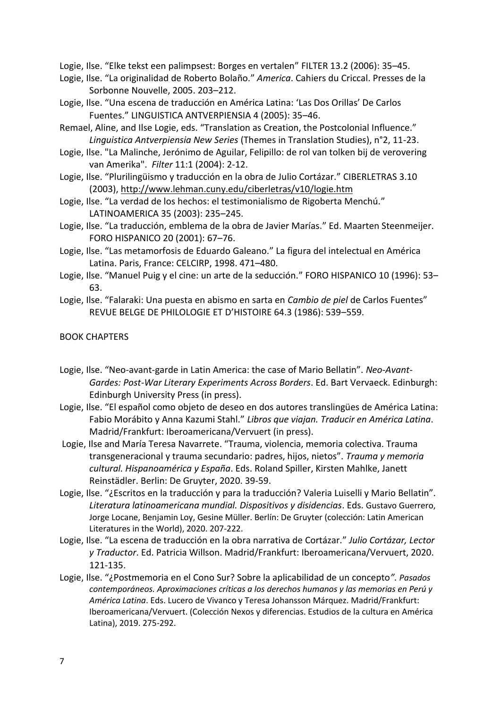Logie, Ilse. "Elke tekst een palimpsest: Borges en vertalen" FILTER 13.2 (2006): 35–45.

- Logie, Ilse. "La originalidad de Roberto Bolaño." *America*. Cahiers du Criccal. Presses de la Sorbonne Nouvelle, 2005. 203–212.
- Logie, Ilse. "Una escena de traducción en América Latina: 'Las Dos Orillas' De Carlos Fuentes." LINGUISTICA ANTVERPIENSIA 4 (2005): 35–46.
- Remael, Aline, and Ilse Logie, eds. "Translation as Creation, the Postcolonial Influence." *Linguistica Antverpiensia New Series* (Themes in Translation Studies), n°2, 11-23.
- Logie, Ilse. "La Malinche, Jerónimo de Aguilar, Felipillo: de rol van tolken bij de verovering van Amerika". *Filter* 11:1 (2004): 2-12.
- Logie, Ilse. "Plurilingüismo y traducción en la obra de Julio Cortázar." CIBERLETRAS 3.10 (2003),<http://www.lehman.cuny.edu/ciberletras/v10/logie.htm>
- Logie, Ilse. "La verdad de los hechos: el testimonialismo de Rigoberta Menchú." LATINOAMERICA 35 (2003): 235–245.
- Logie, Ilse. "La traducción, emblema de la obra de Javier Marías." Ed. Maarten Steenmeijer. FORO HISPANICO 20 (2001): 67–76.
- Logie, Ilse. "Las metamorfosis de Eduardo Galeano." La figura del intelectual en América Latina. Paris, France: CELCIRP, 1998. 471–480.
- Logie, Ilse. "Manuel Puig y el cine: un arte de la seducción." FORO HISPANICO 10 (1996): 53– 63.
- Logie, Ilse. "Falaraki: Una puesta en abismo en sarta en *Cambio de piel* de Carlos Fuentes" REVUE BELGE DE PHILOLOGIE ET D'HISTOIRE 64.3 (1986): 539–559.

BOOK CHAPTERS

- Logie, Ilse. "Neo-avant-garde in Latin America: the case of Mario Bellatin". *Neo-Avant-Gardes: Post-War Literary Experiments Across Borders*. Ed. Bart Vervaeck. Edinburgh: Edinburgh University Press (in press).
- Logie, Ilse. "El español como objeto de deseo en dos autores translingües de América Latina: Fabio Morábito y Anna Kazumi Stahl." *Libros que viajan. Traducir en América Latina*. Madrid/Frankfurt: Iberoamericana/Vervuert (in press).
- Logie, Ilse and María Teresa Navarrete. "Trauma, violencia, memoria colectiva. Trauma transgeneracional y trauma secundario: padres, hijos, nietos". *Trauma y memoria cultural. Hispanoamérica y España*. Eds. Roland Spiller, Kirsten Mahlke, Janett Reinstädler. Berlin: De Gruyter, 2020. 39-59.
- Logie, Ilse. "¿Escritos en la traducción y para la traducción? Valeria Luiselli y Mario Bellatin". *Literatura latinoamericana mundial. Dispositivos y disidencias*. Eds. Gustavo Guerrero, Jorge Locane, Benjamin Loy, Gesine Müller. Berlín: De Gruyter (colección: Latin American Literatures in the World), 2020. 207-222.
- Logie, Ilse. "La escena de traducción en la obra narrativa de Cortázar." *Julio Cortázar, Lector y Traductor*. Ed. Patricia Willson. Madrid/Frankfurt: Iberoamericana/Vervuert, 2020. 121-135.
- Logie, Ilse. "¿Postmemoria en el Cono Sur? Sobre la aplicabilidad de un concepto*". Pasados contemporáneos. Aproximaciones críticas a los derechos humanos y las memorias en Perú y América Latina*. Eds. Lucero de Vivanco y Teresa Johansson Márquez. Madrid/Frankfurt: Iberoamericana/Vervuert. (Colección Nexos y diferencias. Estudios de la cultura en América Latina), 2019. 275-292.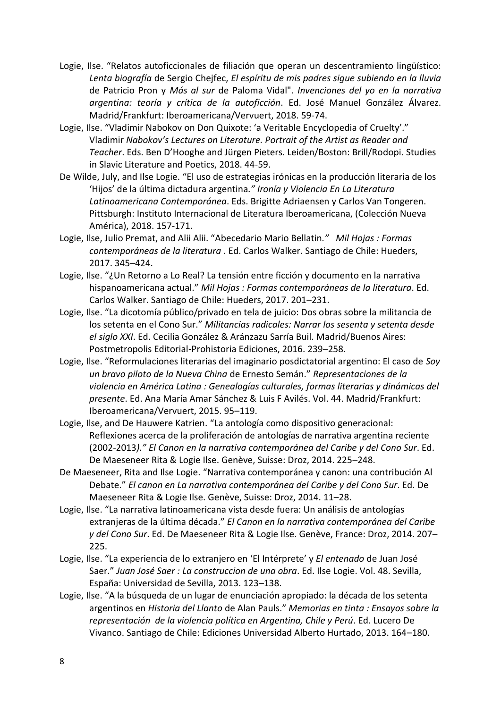- Logie, Ilse. "Relatos autoficcionales de filiación que operan un descentramiento lingüístico: *Lenta biografía* de Sergio Chejfec, *El espíritu de mis padres sigue subiendo en la lluvia* de Patricio Pron y *Más al sur* de Paloma Vidal". *Invenciones del yo en la narrativa argentina: teoría y crítica de la autoficción*. Ed. José Manuel González Álvarez. Madrid/Frankfurt: Iberoamericana/Vervuert, 2018. 59-74.
- Logie, Ilse. "Vladimir Nabokov on Don Quixote: 'a Veritable Encyclopedia of Cruelty'." Vladimir *Nabokov's Lectures on Literature. Portrait of the Artist as Reader and Teacher*. Eds. Ben D'Hooghe and Jürgen Pieters. Leiden/Boston: Brill/Rodopi. Studies in Slavic Literature and Poetics, 2018. 44-59.
- De Wilde, July, and Ilse Logie. "El uso de estrategias irónicas en la producción literaria de los 'Hijos' de la última dictadura argentina*." Ironía y Violencia En La Literatura Latinoamericana Contemporánea*. Eds. Brigitte Adriaensen y Carlos Van Tongeren. Pittsburgh: Instituto Internacional de Literatura Iberoamericana, (Colección Nueva América), 2018. 157-171.
- Logie, Ilse, Julio Premat, and Alii Alii. "Abecedario Mario Bellatin*." Mil Hojas : Formas contemporáneas de la literatura* . Ed. Carlos Walker. Santiago de Chile: Hueders, 2017. 345–424.
- Logie, Ilse. "¿Un Retorno a Lo Real? La tensión entre ficción y documento en la narrativa hispanoamericana actual." *Mil Hojas : Formas contemporáneas de la literatura*. Ed. Carlos Walker. Santiago de Chile: Hueders, 2017. 201–231.
- Logie, Ilse. "La dicotomía público/privado en tela de juicio: Dos obras sobre la militancia de los setenta en el Cono Sur." *Militancias radicales: Narrar los sesenta y setenta desde el siglo XXI*. Ed. Cecilia González & Aránzazu Sarría Buil. Madrid/Buenos Aires: Postmetropolis Editorial-Prohistoria Ediciones, 2016. 239–258.
- Logie, Ilse. "Reformulaciones literarias del imaginario posdictatorial argentino: El caso de *Soy un bravo piloto de la Nueva China* de Ernesto Semán." *Representaciones de la violencia en América Latina : Genealogías culturales, formas literarias y dinámicas del presente*. Ed. Ana María Amar Sánchez & Luis F Avilés. Vol. 44. Madrid/Frankfurt: Iberoamericana/Vervuert, 2015. 95–119.
- Logie, Ilse, and De Hauwere Katrien. "La antología como dispositivo generacional: Reflexiones acerca de la proliferación de antologías de narrativa argentina reciente (2002-2013*)." El Canon en la narrativa contemporánea del Caribe y del Cono Sur*. Ed. De Maeseneer Rita & Logie Ilse. Genève, Suisse: Droz, 2014. 225–248.
- De Maeseneer, Rita and Ilse Logie. "Narrativa contemporánea y canon: una contribución Al Debate." *El canon en La narrativa contemporánea del Caribe y del Cono Sur*. Ed. De Maeseneer Rita & Logie Ilse. Genève, Suisse: Droz, 2014. 11–28.
- Logie, Ilse. "La narrativa latinoamericana vista desde fuera: Un análisis de antologías extranjeras de la última década." *El Canon en la narrativa contemporánea del Caribe y del Cono Sur*. Ed. De Maeseneer Rita & Logie Ilse. Genève, France: Droz, 2014. 207– 225.
- Logie, Ilse. "La experiencia de lo extranjero en 'El Intérprete' y *El entenado* de Juan José Saer." *Juan José Saer : La construccion de una obra*. Ed. Ilse Logie. Vol. 48. Sevilla, España: Universidad de Sevilla, 2013. 123–138.
- Logie, Ilse. "A la búsqueda de un lugar de enunciación apropiado: la década de los setenta argentinos en *Historia del Llanto* de Alan Pauls." *Memorias en tinta : Ensayos sobre la representación de la violencia política en Argentina, Chile y Perú*. Ed. Lucero De Vivanco. Santiago de Chile: Ediciones Universidad Alberto Hurtado, 2013. 164–180.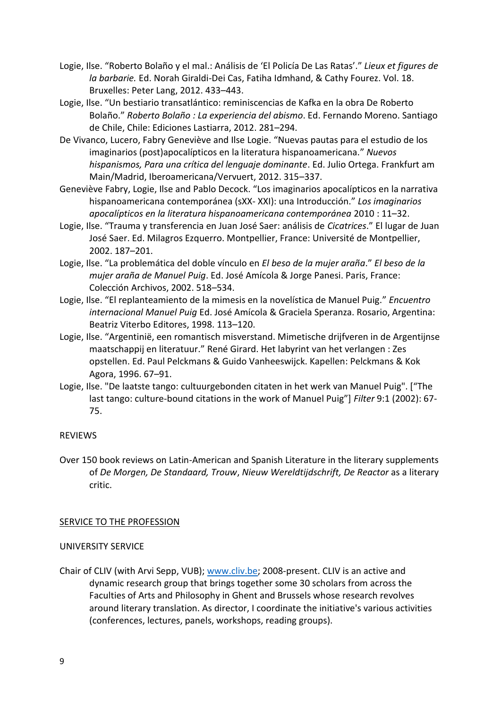- Logie, Ilse. "Roberto Bolaño y el mal.: Análisis de 'El Policía De Las Ratas'." *Lieux et figures de la barbarie.* Ed. Norah Giraldi-Dei Cas, Fatiha Idmhand, & Cathy Fourez. Vol. 18. Bruxelles: Peter Lang, 2012. 433–443.
- Logie, Ilse. "Un bestiario transatlántico: reminiscencias de Kafka en la obra De Roberto Bolaño." *Roberto Bolaño : La experiencia del abismo*. Ed. Fernando Moreno. Santiago de Chile, Chile: Ediciones Lastiarra, 2012. 281–294.
- De Vivanco, Lucero, Fabry Geneviève and Ilse Logie. "Nuevas pautas para el estudio de los imaginarios (post)apocalípticos en la literatura hispanoamericana." *Nuevos hispanismos, Para una crítica del lenguaje dominante*. Ed. Julio Ortega. Frankfurt am Main/Madrid, Iberoamericana/Vervuert, 2012. 315–337.
- Geneviève Fabry, Logie, Ilse and Pablo Decock. "Los imaginarios apocalípticos en la narrativa hispanoamericana contemporánea (sXX- XXI): una Introducción." *Los imaginarios apocalípticos en la literatura hispanoamericana contemporánea* 2010 : 11–32.
- Logie, Ilse. "Trauma y transferencia en Juan José Saer: análisis de *Cicatrices*." El lugar de Juan José Saer. Ed. Milagros Ezquerro. Montpellier, France: Université de Montpellier, 2002. 187–201.
- Logie, Ilse. "La problemática del doble vínculo en *El beso de la mujer araña*." *El beso de la mujer araña de Manuel Puig*. Ed. José Amícola & Jorge Panesi. Paris, France: Colección Archivos, 2002. 518–534.
- Logie, Ilse. "El replanteamiento de la mimesis en la novelística de Manuel Puig." *Encuentro internacional Manuel Puig* Ed. José Amícola & Graciela Speranza. Rosario, Argentina: Beatriz Viterbo Editores, 1998. 113–120.
- Logie, Ilse. "Argentinië, een romantisch misverstand. Mimetische drijfveren in de Argentijnse maatschappij en literatuur." René Girard. Het labyrint van het verlangen : Zes opstellen. Ed. Paul Pelckmans & Guido Vanheeswijck. Kapellen: Pelckmans & Kok Agora, 1996. 67–91.
- Logie, Ilse. "De laatste tango: cultuurgebonden citaten in het werk van Manuel Puig". ["The last tango: culture-bound citations in the work of Manuel Puig"] *Filter* 9:1 (2002): 67- 75.

### REVIEWS

Over 150 book reviews on Latin-American and Spanish Literature in the literary supplements of *De Morgen, De Standaard, Trouw*, *Nieuw Wereldtijdschrift, De Reactor* as a literary critic.

#### SERVICE TO THE PROFESSION

#### UNIVERSITY SERVICE

Chair of CLIV (with Arvi Sepp, VUB); [www.cliv.be;](http://www.cliv.be/) 2008-present. CLIV is an active and dynamic research group that brings together some 30 scholars from across the Faculties of Arts and Philosophy in Ghent and Brussels whose research revolves around literary translation. As director, I coordinate the initiative's various activities (conferences, lectures, panels, workshops, reading groups).